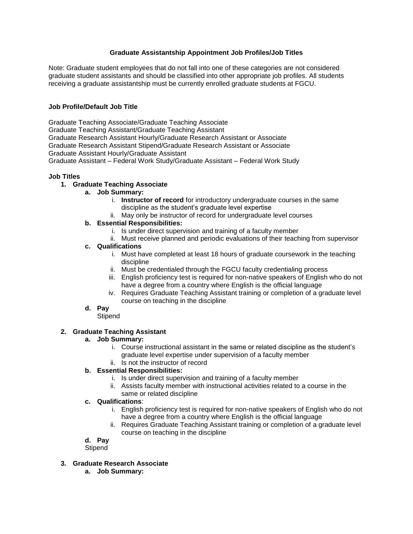## **Graduate Assistantship Appointment Job Profiles/Job Titles**

Note: Graduate student employees that do not fall into one of these categories are not considered graduate student assistants and should be classified into other appropriate job profiles. All students receiving a graduate assistantship must be currently enrolled graduate students at FGCU.

### **Job Profile/Default Job Title**

Graduate Teaching Associate/Graduate Teaching Associate Graduate Teaching Assistant/Graduate Teaching Assistant Graduate Research Assistant Hourly/Graduate Research Assistant or Associate Graduate Research Assistant Stipend/Graduate Research Assistant or Associate Graduate Assistant Hourly/Graduate Assistant Graduate Assistant – Federal Work Study/Graduate Assistant – Federal Work Study

### **Job Titles**

- **1. Graduate Teaching Associate**
	- **a. Job Summary:**
		- i. **Instructor of record** for introductory undergraduate courses in the same discipline as the student's graduate level expertise
		- ii. May only be instructor of record for undergraduate level courses

# **b. Essential Responsibilities:**

- i. Is under direct supervision and training of a faculty member
- ii. Must receive planned and periodic evaluations of their teaching from supervisor

### **c. Qualifications**

- i. Must have completed at least 18 hours of graduate coursework in the teaching discipline
- ii. Must be credentialed through the FGCU faculty credentialing process
- iii. English proficiency test is required for non-native speakers of English who do not have a degree from a country where English is the official language
- iv. Requires Graduate Teaching Assistant training or completion of a graduate level course on teaching in the discipline

#### **d. Pay**

**Stipend** 

#### **2. Graduate Teaching Assistant**

#### **a. Job Summary:**

- i. Course instructional assistant in the same or related discipline as the student's graduate level expertise under supervision of a faculty member
- ii. Is not the instructor of record

# **b. Essential Responsibilities:**

- i. Is under direct supervision and training of a faculty member
- ii. Assists faculty member with instructional activities related to a course in the same or related discipline

# **c. Qualifications**:

- i. English proficiency test is required for non-native speakers of English who do not have a degree from a country where English is the official language
- ii. Requires Graduate Teaching Assistant training or completion of a graduate level course on teaching in the discipline

### **d. Pay**

**Stipend** 

- **3. Graduate Research Associate**
	- **a. Job Summary:**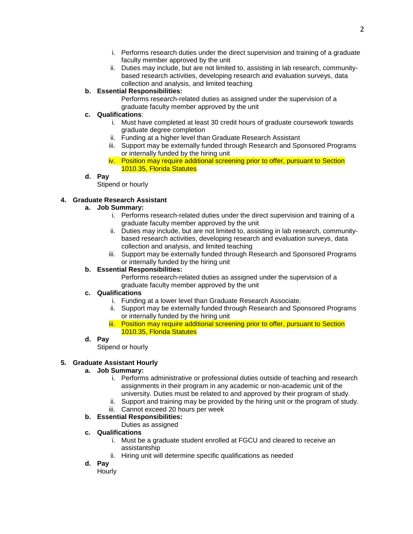- i. Performs research duties under the direct supervision and training of a graduate faculty member approved by the unit
- ii. Duties may include, but are not limited to, assisting in lab research, communitybased research activities, developing research and evaluation surveys, data collection and analysis, and limited teaching

# **b. Essential Responsibilities:**

Performs research-related duties as assigned under the supervision of a graduate faculty member approved by the unit

# **c. Qualifications**:

- i. Must have completed at least 30 credit hours of graduate coursework towards graduate degree completion
- ii. Funding at a higher level than Graduate Research Assistant
- iii. Support may be externally funded through Research and Sponsored Programs or internally funded by the hiring unit
- iv. Position may require additional screening prior to offer, pursuant to Section 1010.35, Florida Statutes

# **d. Pay**

Stipend or hourly

# **4. Graduate Research Assistant**

### **a. Job Summary:**

- i. Performs research-related duties under the direct supervision and training of a graduate faculty member approved by the unit
- ii. Duties may include, but are not limited to, assisting in lab research, communitybased research activities, developing research and evaluation surveys, data collection and analysis, and limited teaching
- iii. Support may be externally funded through Research and Sponsored Programs or internally funded by the hiring unit

### **b. Essential Responsibilities:**

Performs research-related duties as assigned under the supervision of a graduate faculty member approved by the unit

### **c. Qualifications**

- i. Funding at a lower level than Graduate Research Associate.
- ii. Support may be externally funded through Research and Sponsored Programs or internally funded by the hiring unit
- iii. Position may require additional screening prior to offer, pursuant to Section 1010.35, Florida Statutes

#### **d. Pay**

Stipend or hourly

#### **5. Graduate Assistant Hourly**

#### **a. Job Summary:**

- i. Performs administrative or professional duties outside of teaching and research assignments in their program in any academic or non-academic unit of the university. Duties must be related to and approved by their program of study.
- ii. Support and training may be provided by the hiring unit or the program of study.
- iii. Cannot exceed 20 hours per week

# **b. Essential Responsibilities:**

Duties as assigned

#### **c. Qualifications**

- i. Must be a graduate student enrolled at FGCU and cleared to receive an assistantship
- ii. Hiring unit will determine specific qualifications as needed

# **d. Pay**

**Hourly**